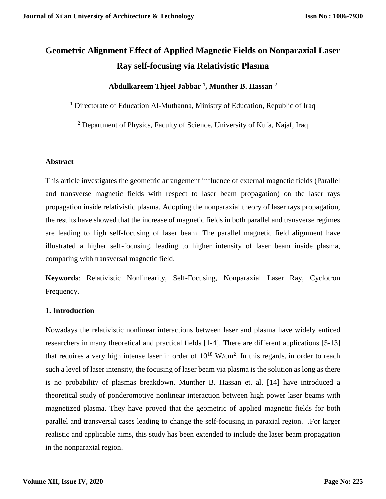# **Geometric Alignment Effect of Applied Magnetic Fields on Nonparaxial Laser Ray self-focusing via Relativistic Plasma**

## **Abdulkareem Thjeel Jabbar <sup>1</sup> , Munther B. Hassan <sup>2</sup>**

 $1$  Directorate of Education Al-Muthanna, Ministry of Education, Republic of Iraq

<sup>2</sup> Department of Physics, Faculty of Science, University of Kufa, Najaf, Iraq

## **Abstract**

This article investigates the geometric arrangement influence of external magnetic fields (Parallel and transverse magnetic fields with respect to laser beam propagation) on the laser rays propagation inside relativistic plasma. Adopting the nonparaxial theory of laser rays propagation, the results have showed that the increase of magnetic fields in both parallel and transverse regimes are leading to high self-focusing of laser beam. The parallel magnetic field alignment have illustrated a higher self-focusing, leading to higher intensity of laser beam inside plasma, comparing with transversal magnetic field.

**Keywords**: Relativistic Nonlinearity, Self-Focusing, Nonparaxial Laser Ray, Cyclotron Frequency.

## **1. Introduction**

Nowadays the relativistic nonlinear interactions between laser and plasma have widely enticed researchers in many theoretical and practical fields [1-4]. There are different applications [5-13] that requires a very high intense laser in order of  $10^{18}$  W/cm<sup>2</sup>. In this regards, in order to reach such a level of laser intensity, the focusing of laser beam via plasma is the solution as long as there is no probability of plasmas breakdown. Munther B. Hassan et. al. [14] have introduced a theoretical study of ponderomotive nonlinear interaction between high power laser beams with magnetized plasma. They have proved that the geometric of applied magnetic fields for both parallel and transversal cases leading to change the self-focusing in paraxial region. .For larger realistic and applicable aims, this study has been extended to include the laser beam propagation in the nonparaxial region.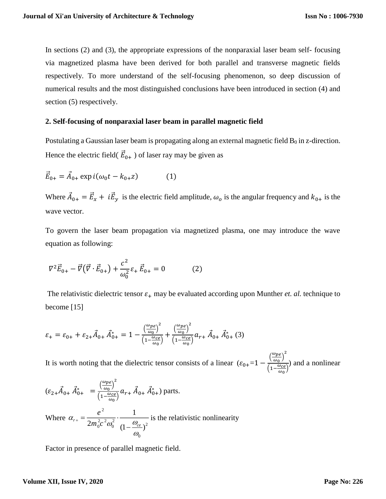In sections (2) and (3), the appropriate expressions of the nonparaxial laser beam self- focusing via magnetized plasma have been derived for both parallel and transverse magnetic fields respectively. To more understand of the self-focusing phenomenon, so deep discussion of numerical results and the most distinguished conclusions have been introduced in section (4) and section  $(5)$  respectively.

## **2. Self-focusing of nonparaxial laser beam in parallel magnetic field**

Postulating a Gaussian laser beam is propagating along an external magnetic field  $B_0$  in z-direction. Hence the electric field(  $\vec{E}_{0+}$  ) of laser ray may be given as

$$
\vec{E}_{0+} = \vec{A}_{0+} \exp i(\omega_0 t - k_{0+} z)
$$
 (1)

Where  $\vec{A}_{0+} = \vec{E}_x + i\vec{E}_y$  is the electric field amplitude,  $\omega_o$  is the angular frequency and  $k_{0+}$  is the wave vector.

To govern the laser beam propagation via magnetized plasma, one may introduce the wave equation as following:

$$
\nabla^2 \vec{E}_{0+} - \vec{\nabla} (\vec{\nabla} \cdot \vec{E}_{0+}) + \frac{c^2}{\omega_0^2} \varepsilon_+ \vec{E}_{0+} = 0 \tag{2}
$$

The relativistic dielectric tensor  $\varepsilon_+$  may be evaluated according upon Munther *et. al.* technique to become [15]

$$
\varepsilon_{+} = \varepsilon_{0+} + \varepsilon_{2+} \vec{A}_{0+} \vec{A}_{0+}^{*} = 1 - \frac{\left(\frac{\omega_{pe}}{\omega_{0}}\right)^{2}}{\left(1 - \frac{\omega_{ce}}{\omega_{0}}\right)} + \frac{\left(\frac{\omega_{pe}}{\omega_{0}}\right)^{2}}{\left(1 - \frac{\omega_{ce}}{\omega_{0}}\right)} a_{r+} \vec{A}_{0+} \vec{A}_{0+}^{*} (3)
$$

It is worth noting that the dielectric tensor consists of a linear  $(\varepsilon_{0+}=1-\frac{(\frac{\omega_{pe}}{\omega_0})^2}{(\frac{\omega_{pe}}{\omega_0})^2})$  $\frac{\omega p e}{\omega_0}\Big)^2$  $\left(1-\frac{\omega_{ce}}{\omega_{ce}}\right)$  $\frac{\partial^2 \phi}{\partial \omega_0}$  and a nonlinear

$$
(\varepsilon_{2+}\vec{A}_{0+}\vec{A}_{0+}^* = \frac{\left(\frac{\omega_{pe}}{\omega_0}\right)^2}{\left(1 - \frac{\omega_{ce}}{\omega_0}\right)} a_{r+}\vec{A}_{0+}\vec{A}_{0+}^*)
$$
 parts.  
Where  $\alpha_{r+} = \frac{e^2}{2m_0^2 c^2 \omega_0^2} \cdot \frac{1}{\left(1 - \frac{\omega_{ce}}{\omega_0}\right)^2}$  is the relativistic nonlinearity

Factor in presence of parallel magnetic field.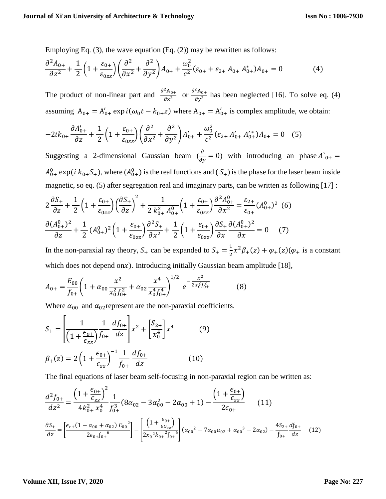Employing Eq. (3), the wave equation (Eq. (2)) may be rewritten as follows:

$$
\frac{\partial^2 A_{0+}}{\partial z^2} + \frac{1}{2} \left( 1 + \frac{\varepsilon_{0+}}{\varepsilon_{0zz}} \right) \left( \frac{\partial^2}{\partial x^2} + \frac{\partial^2}{\partial y^2} \right) A_{0+} + \frac{\omega_0^2}{c^2} (\varepsilon_{0+} + \varepsilon_{2+} A_{0+} A_{0+}^*) A_{0+} = 0 \tag{4}
$$

The product of non-linear part and  $\frac{\partial^2 A_{0+}}{\partial z^2}$  $\frac{\partial^2 A_{0+}}{\partial x^2}$  or  $\frac{\partial^2 A_{0+}}{\partial y^2}$  $\frac{A_{0+}}{\partial y^2}$  has been neglected [16]. To solve eq. (4) assuming  $A_{0+} = A'_{0+} \exp i(\omega_0 t - k_{0+} z)$  where  $A_{0+} = A'_{0+}$  is complex amplitude, we obtain:

$$
-2ik_{0+}\frac{\partial A'_{0+}}{\partial z} + \frac{1}{2}\left(1 + \frac{\varepsilon_{0+}}{\varepsilon_{0zz}}\right)\left(\frac{\partial^2}{\partial x^2} + \frac{\partial^2}{\partial y^2}\right)A'_{0+} + \frac{\omega_0^2}{c^2}(\varepsilon_{2+}A'_{0+}A''_{0+})A_{0+} = 0 \quad (5)
$$

Suggesting a 2-dimensional Gaussian beam  $\left(\frac{\partial}{\partial y} = 0\right)$  with introducing an phase  $A_{0+}$  =  $A_{0+}^0$  exp( $i k_{0+} S_+$ ), where  $(A_{0+}^0)$  is the real functions and  $(S_+)$  is the phase for the laser beam inside magnetic, so eq. (5) after segregation real and imaginary parts, can be written as following [17] :

$$
2\frac{\partial S_{+}}{\partial z} + \frac{1}{2} \left( 1 + \frac{\varepsilon_{0+}}{\varepsilon_{0zz}} \right) \left( \frac{\partial S_{+}}{\partial z} \right)^{2} + \frac{1}{2 k_{0+}^{2} A_{0+}^{0}} \left( 1 + \frac{\varepsilon_{0+}}{\varepsilon_{0zz}} \right) \frac{\partial^{2} A_{0+}^{0}}{\partial x^{2}} = \frac{\varepsilon_{2+}}{\varepsilon_{0+}} (A_{0+}^{0})^{2} \tag{6}
$$

$$
\frac{\partial (A_{0+}^{0})^{2}}{\partial z} + \frac{1}{2} (A_{0+}^{0})^{2} \left( 1 + \frac{\varepsilon_{0+}}{\varepsilon_{0zz}} \right) \frac{\partial^{2} S_{+}}{\partial x^{2}} + \frac{1}{2} \left( 1 + \frac{\varepsilon_{0+}}{\varepsilon_{0zz}} \right) \frac{\partial S_{+}}{\partial x} \frac{\partial (A_{0+}^{0})^{2}}{\partial x} = 0 \tag{7}
$$

In the non-paraxial ray theory,  $S_+$  can be expanded to  $S_+ = \frac{1}{2}$  $\frac{1}{2}x^2\beta_+(z) + \varphi_+(z)(\varphi_+)$  is a constant which does not depend onx). Introducing initially Gaussian beam amplitude [18],

$$
A_{0+} = \frac{E_{00}}{f_{0+}} \left( 1 + \alpha_{00} \frac{x^2}{x_0^2 f_{0+}^2} + \alpha_{02} \frac{x^4}{x_0^4 f_{0+}^4} \right)^{1/2} e^{-\frac{x^2}{2x_0^2 f_{0+}^2}}
$$
(8)

Where  $\alpha_{00}$  and  $\alpha_{02}$  represent are the non-paraxial coefficients.

$$
S_{+} = \left[ \frac{1}{\left( 1 + \frac{\epsilon_{0+}}{\epsilon_{zz}} \right)} \frac{1}{f_{0+}} \frac{df_{0+}}{dz} \right] x^{2} + \left[ \frac{S_{2+}}{x_{0}^{4}} \right] x^{4}
$$
(9)  

$$
\beta_{+}(z) = 2 \left( 1 + \frac{\epsilon_{0+}}{\epsilon_{zz}} \right)^{-1} \frac{1}{f_{0+}} \frac{df_{0+}}{dz}
$$
(10)

The final equations of laser beam self-focusing in non-paraxial region can be written as:

$$
\frac{d^2 f_{0+}}{dz^2} = \frac{\left(1 + \frac{\epsilon_{0+}}{\epsilon_{zz}}\right)^2}{4k_{0+}^2 x_0^4} \frac{1}{f_{0+}^3} (8\alpha_{02} - 3\alpha_{00}^2 - 2\alpha_{00} + 1) - \frac{\left(1 + \frac{\epsilon_{0+}}{\epsilon_{zz}}\right)}{2\epsilon_{0+}} \qquad (11)
$$
\n
$$
\frac{\partial S_+}{\partial z} = \left[\frac{\epsilon_{r+}(1 - \alpha_{00} + \alpha_{02}) E_{00}^2}{2\epsilon_{0+}f_{0+}}\right] - \left[\frac{\left(1 + \frac{\epsilon_{0+}}{\epsilon_{0zz}}\right)}{2x_0^2 k_{0+}^2 f_{0+}}\right] (\alpha_{00}^2 - 7\alpha_{00}\alpha_{02} + \alpha_{00}^3 - 2\alpha_{02}) - \frac{4S_{2+}}{f_{0+}}\frac{df_{0+}}{dz} \qquad (12)
$$

#### **Volume XII, Issue IV, 2020**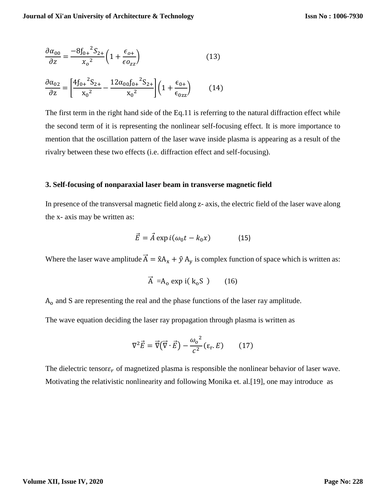$$
\frac{\partial \alpha_{00}}{\partial z} = \frac{-8f_{0+}{}^2S_{2+}}{x_o{}^2} \left(1 + \frac{\epsilon_{o+}}{\epsilon o_{zz}}\right) \tag{13}
$$

$$
\frac{\partial \alpha_{02}}{\partial z} = \left[ \frac{4f_{0+}{}^2 S_{2+}}{x_0{}^2} - \frac{12\alpha_{00}f_{0+}{}^2 S_{2+}}{x_0{}^2} \right] \left( 1 + \frac{\epsilon_{0+}}{\epsilon_{0zz}} \right) \tag{14}
$$

The first term in the right hand side of the Eq.11 is referring to the natural diffraction effect while the second term of it is representing the nonlinear self-focusing effect. It is more importance to mention that the oscillation pattern of the laser wave inside plasma is appearing as a result of the rivalry between these two effects (i.e. diffraction effect and self-focusing).

#### **3. Self-focusing of nonparaxial laser beam in transverse magnetic field**

In presence of the transversal magnetic field along z- axis, the electric field of the laser wave along the x- axis may be written as:

$$
\vec{E} = \vec{A} \exp i(\omega_0 t - k_0 x) \tag{15}
$$

Where the laser wave amplitude  $\vec{A} = \hat{x}A_x + \hat{y}A_y$  is complex function of space which is written as:

$$
\vec{A} = A_0 \exp i(k_0 S) \qquad (16)
$$

A<sup>o</sup> and S are representing the real and the phase functions of the laser ray amplitude.

The wave equation deciding the laser ray propagation through plasma is written as

$$
\nabla^2 \vec{E} = \vec{\nabla} (\vec{\nabla} \cdot \vec{E}) - \frac{\omega_o^2}{c^2} (\varepsilon_r. E) \qquad (17)
$$

The dielectric tensor  $\varepsilon_r$  of magnetized plasma is responsible the nonlinear behavior of laser wave. Motivating the relativistic nonlinearity and following Monika et. al.[19], one may introduce as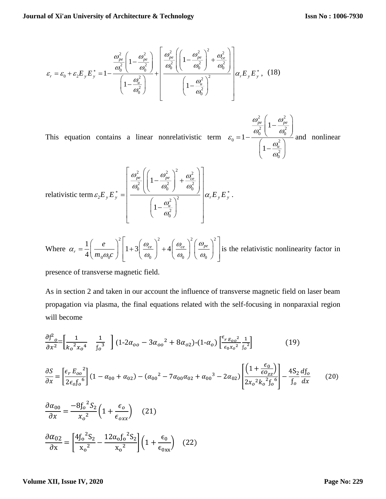$$
\varepsilon_{r} = \varepsilon_{0} + \varepsilon_{2} E_{y} E_{y}^{*} = 1 - \frac{\frac{\omega_{pe}^{2}}{\omega_{0}^{2}} \left( 1 - \frac{\omega_{pe}^{2}}{\omega_{0}^{2}} \right)}{\left( 1 - \frac{\omega_{u}^{2}}{\omega_{0}^{2}} \right)} + \frac{\frac{\omega_{pe}^{2}}{\omega_{0}^{2}} \left( 1 - \frac{\omega_{pe}^{2}}{\omega_{0}^{2}} \right)^{2} + \frac{\omega_{ce}^{2}}{\omega_{0}^{2}}}{\left( 1 - \frac{\omega_{u}^{2}}{\omega_{0}^{2}} \right)^{2}} \alpha_{r} E_{y} E_{y}^{*}, \quad (18)
$$

This equation contains a linear nonrelativistic term 2 2 2 2  $0<sup>0</sup>$  $0 - 1$  ( 2 2 0 1 1 1 *pe pe*  $\omega$  |  $\omega$  $\omega_{\circ}$  |  $\omega_{\circ}$ ε  $\omega$  $\omega$  $\left(1-\frac{\omega_{pe}^2}{2}\right)$  $\left( \frac{1-\frac{1}{\omega_0^2}}{\omega_0^2} \right)$  $=1-\frac{a_{u}^{2}}{\left(1-\frac{a_{u}^{2}}{2}\right)}$  $\left(\begin{array}{cc} & a_0^2 \end{array}\right)$ and nonlinear

relativistic term 
$$
\varepsilon_2 E_y E_y^* = \left[ \frac{\frac{\omega_{pe}^2}{\omega_0^2} \left( \left( 1 - \frac{\omega_{pe}^2}{\omega_0^2} \right)^2 + \frac{\omega_{ce}^2}{\omega_0^2} \right)}{\left( 1 - \frac{\omega_u^2}{\omega_0^2} \right)^2} \right] \alpha_r E_y E_y^*.
$$

Where 
$$
\alpha_r = \frac{1}{4} \left( \frac{e}{m_0 \omega_0 c} \right)^2 \left[ 1 + 3 \left( \frac{\omega_{ce}}{\omega_0} \right)^2 + 4 \left( \frac{\omega_{ce}}{\omega_0} \right)^2 \left( \frac{\omega_{pe}}{\omega_0} \right)^2 \right]
$$
 is the relativistic nonlinearity factor in

presence of transverse magnetic field.

As in section 2 and taken in our account the influence of transverse magnetic field on laser beam propagation via plasma, the final equations related with the self-focusing in nonparaxial region will become

$$
\frac{\partial f^2}{\partial x^2} = \left[ \frac{1}{k_o^2 x_o^4} - \frac{1}{f_o^3} \right] (1 - 2\alpha_{oo} - 3\alpha_{oo}^2 + 8\alpha_{o2}) - (1 - \alpha_o) \left[ \frac{\epsilon_{r E_{oo}}^2}{\epsilon_{o} x_o^2} \frac{1}{f_o^2} \right]
$$
(19)  
\n
$$
\frac{\partial S}{\partial x} = \left[ \frac{\epsilon_r E_{oo}^2}{2\epsilon_o f_o^6} \right] (1 - \alpha_{00} + \alpha_{02}) - (\alpha_{00}^2 - 7\alpha_{00}\alpha_{02} + \alpha_{00}^3 - 2\alpha_{02}) \left[ \frac{\left(1 + \frac{\epsilon_0}{\epsilon_{O_{ZZ}}}\right)}{2x_o^2 k_o^2 f_o^6} \right] - \frac{4S_2}{f_o} \frac{df_o}{dx}
$$
(20)  
\n
$$
\frac{\partial \alpha_{00}}{\partial x} = \frac{-8f_o^2 S_2}{x_o^2} \left(1 + \frac{\epsilon_o}{\epsilon_{oxx}}\right)
$$
(21)  
\n
$$
\frac{\partial \alpha_{02}}{\partial x} = \left[ \frac{4f_o^2 S_2}{x_o^2} - \frac{12\alpha_o f_o^2 S_2}{x_o^2} \right] \left(1 + \frac{\epsilon_0}{\epsilon_{0xx}}\right)
$$
(22)

#### **Volume XII, Issue IV, 2020**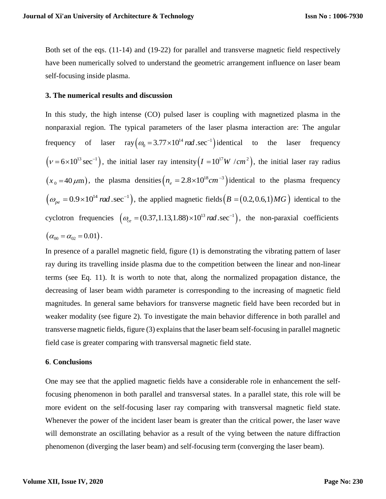Both set of the eqs. (11-14) and (19-22) for parallel and transverse magnetic field respectively have been numerically solved to understand the geometric arrangement influence on laser beam self-focusing inside plasma.

## **3. The numerical results and discussion**

In this study, the high intense (CO) pulsed laser is coupling with magnetized plasma in the nonparaxial region. The typical parameters of the laser plasma interaction are: The angular frequency of laser  $ray(\omega_0 = 3.77 \times 10^{14} \text{ rad} \cdot \text{sec}^{-1})$  identical to the laser frequency  $(\nu = 6 \times 10^{13} \text{ sec}^{-1})$ , the initial laser ray intensity  $(I = 10^{17} W / cm^2)$ , the initial laser ray radius  $(x_0 = 40 \,\mu\text{m})$ , the plasma densities  $(n_e = 2.8 \times 10^{18} \text{cm}^{-3})$  identical to the plasma frequency  $\left(\omega_{pe} = 0.9 \times 10^{14} \text{ rad} \cdot \text{sec}^{-1}\right)$ , the applied magnetic fields  $\left(B = (0.2, 0.6, 1)MG\right)$  identical to the cyclotron frequencies  $(\omega_{ce} = (0.37, 1.13, 1.88) \times 10^{13} \text{ rad. sec}^{-1})$ , the non-paraxial coefficients  $(\alpha_{00} = \alpha_{02} = 0.01).$ 

In presence of a parallel magnetic field, figure (1) is demonstrating the vibrating pattern of laser ray during its travelling inside plasma due to the competition between the linear and non-linear terms (see Eq. 11). It is worth to note that, along the normalized propagation distance, the decreasing of laser beam width parameter is corresponding to the increasing of magnetic field magnitudes. In general same behaviors for transverse magnetic field have been recorded but in weaker modality (see figure 2). To investigate the main behavior difference in both parallel and transverse magnetic fields, figure (3) explains that the laser beam self-focusing in parallel magnetic field case is greater comparing with transversal magnetic field state.

## **6**. **Conclusions**

One may see that the applied magnetic fields have a considerable role in enhancement the selffocusing phenomenon in both parallel and transversal states. In a parallel state, this role will be more evident on the self-focusing laser ray comparing with transversal magnetic field state. Whenever the power of the incident laser beam is greater than the critical power, the laser wave will demonstrate an oscillating behavior as a result of the vying between the nature diffraction phenomenon (diverging the laser beam) and self-focusing term (converging the laser beam).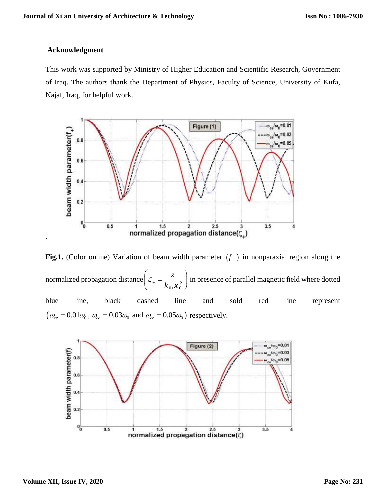## **Acknowledgment**

This work was supported by Ministry of Higher Education and Scientific Research, Government of Iraq. The authors thank the Department of Physics, Faculty of Science, University of Kufa, Najaf, Iraq, for helpful work.



**Fig.1.** (Color online) Variation of beam width parameter  $(f<sub>+</sub>)$  in nonparaxial region along the normalized propagation distance  $\left|\zeta\right| = \frac{2}{|k - x|^2}$  $_{0+}\lambda _{0}$ *z*  $\zeta_{+} = \frac{z}{k_{0+}x}$  $^{+}$  $\left(\zeta_{+}=\frac{z}{k-n^2}\right)i$  $k_{0+}x_{0}^2$ in presence of parallel magnetic field where dotted blue line, black dashed line and sold red line represent  $(\omega_{ce} = 0.01\omega_0, \omega_{ce} = 0.03\omega_0 \text{ and } \omega_{ce} = 0.05\omega_0)$  respectively.



.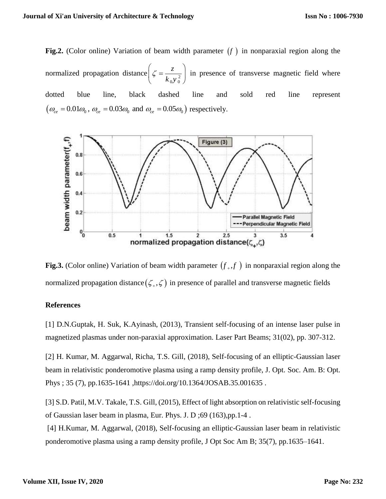**Fig.2.** (Color online) Variation of beam width parameter  $(f)$  in nonparaxial region along the normalized propagation distance  $\zeta = \frac{2}{1 - x^2}$  $0 \mathcal{N}$   $0$ *z*  $k_0 y$  $\left(\zeta = \frac{z}{1-z}\right)$  $\begin{pmatrix} k_0 y_0^2 \end{pmatrix}$ in presence of transverse magnetic field where dotted blue line, black dashed line and sold red line represent  $(\omega_{ce} = 0.01\omega_0, \omega_{ce} = 0.03\omega_0 \text{ and } \omega_{ce} = 0.05\omega_0)$  respectively.



**Fig.3.** (Color online) Variation of beam width parameter  $(f_{+}, f_{-})$  in nonparaxial region along the normalized propagation distance $(\zeta_*,\zeta)$  in presence of parallel and transverse magnetic fields

## **References**

[1] D.N.Guptak, H. Suk, K.Ayinash, (2013), Transient self-focusing of an intense laser pulse in magnetized plasmas under non-paraxial approximation. Laser Part Beams; 31(02), pp. 307-312.

[2] H. Kumar, M. Aggarwal, Richa, T.S. Gill, (2018), Self-focusing of an elliptic-Gaussian laser beam in relativistic ponderomotive plasma using a ramp density profile, J. Opt. Soc. Am. B: Opt. Phys ; 35 (7), pp.1635-1641 [,https://doi.org/10.1364/JOSAB.35.001635](https://doi.org/10.1364/JOSAB.35.001635) .

[3] S.D. Patil, M.V. Takale, T.S. Gill, (2015), Effect of light absorption on relativistic self-focusing of Gaussian laser beam in plasma, Eur. Phys. J. D ;69 (163),pp.1-4 .

[4] H.Kumar, M. Aggarwal, (2018), Self-focusing an elliptic-Gaussian laser beam in relativistic ponderomotive plasma using a ramp density profile, J Opt Soc Am B; 35(7), pp.1635–1641.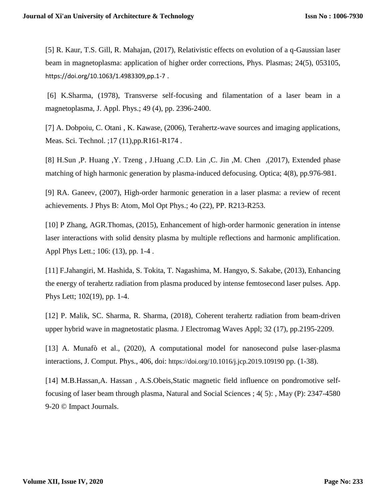[5] R. Kaur, T.S. Gill, R. Mahajan, (2017), Relativistic effects on evolution of a q-Gaussian laser beam in magnetoplasma: application of higher order corrections, Phys. Plasmas; 24(5), 053105, <https://doi.org/10.1063/1.4983309,pp.1-7> .

[6] K.Sharma, (1978), Transverse self-focusing and filamentation of a laser beam in a magnetoplasma, J. Appl. Phys.; 49 (4), pp. 2396-2400.

[7] A. Dobpoiu, C. Otani, K. Kawase, (2006), Terahertz-wave sources and imaging applications, Meas. Sci. Technol. ;17 (11),pp.R161-R174 .

[8] H.Sun ,P. Huang ,Y. Tzeng , J.Huang ,C.D. Lin ,C. Jin ,M. Chen ,(2017), Extended phase matching of high harmonic generation by plasma-induced defocusing. Optica; 4(8), pp.976-981.

[9] RA. Ganeev, (2007), High-order harmonic generation in a laser plasma: a review of recent achievements. J Phys B: Atom, Mol Opt Phys.; 4o (22), PP. R213-R253.

[10] P Zhang, AGR.Thomas, (2015), Enhancement of high-order harmonic generation in intense laser interactions with solid density plasma by multiple reflections and harmonic amplification. Appl Phys Lett.; 106: (13), pp. 1-4 .

[11] F.Jahangiri, M. Hashida, S. Tokita, T. Nagashima, M. Hangyo, S. Sakabe, (2013), Enhancing the energy of terahertz radiation from plasma produced by intense femtosecond laser pulses. App. Phys Lett; 102(19), pp. 1-4.

[12] P. Malik, SC. Sharma, R. Sharma, (2018), Coherent terahertz radiation from beam-driven upper hybrid wave in magnetostatic plasma. J Electromag Waves Appl; 32 (17), pp.2195-2209.

[13] A. Munafò et al., (2020), A computational model for nanosecond pulse laser-plasma interactions, J. Comput. Phys., 406, doi: <https://doi.org/10.1016/j.jcp.2019.109190> pp. (1-38).

[14] M.B.Hassan,A. Hassan , A.S.Obeis,Static magnetic field influence on pondromotive selffocusing of laser beam through plasma, Natural and Social Sciences ; 4( 5): , May (P): 2347-4580 9-20 © Impact Journals.